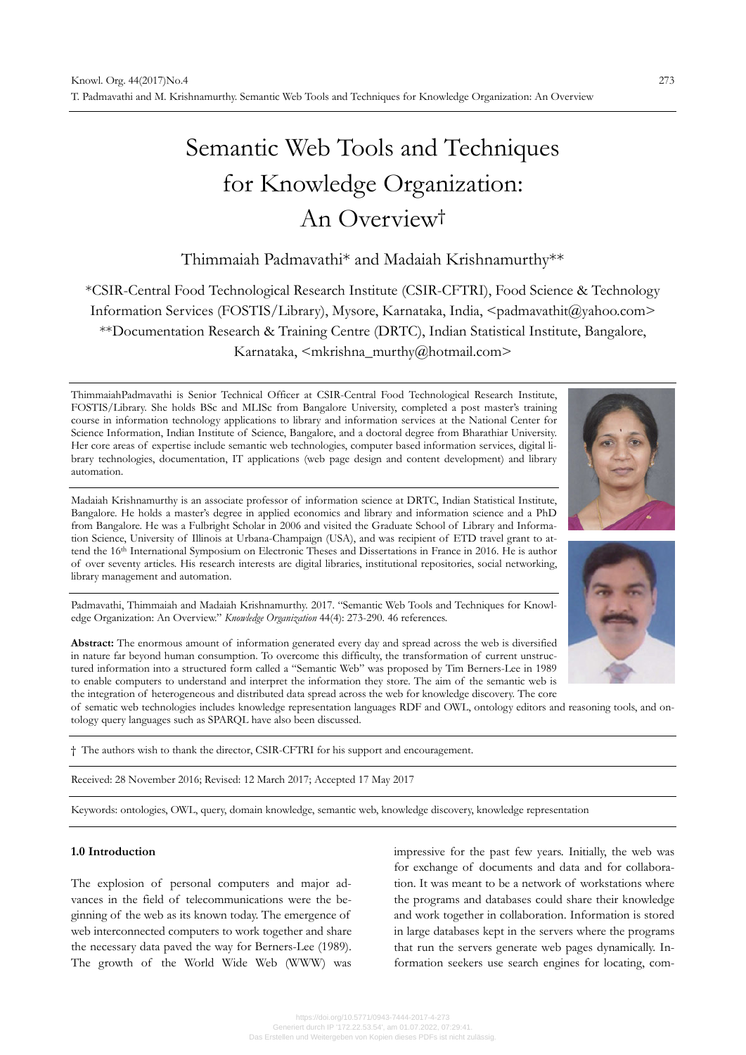# Semantic Web Tools and Techniques for Knowledge Organization: An Overview†

# Thimmaiah Padmavathi\* and Madaiah Krishnamurthy\*\*

\*CSIR-Central Food Technological Research Institute (CSIR-CFTRI), Food Science & Technology Information Services (FOSTIS/Library), Mysore, Karnataka, India, <padmavathit@yahoo.com> \*\*Documentation Research & Training Centre (DRTC), Indian Statistical Institute, Bangalore, Karnataka, <mkrishna\_murthy@hotmail.com>

ThimmaiahPadmavathi is Senior Technical Officer at CSIR-Central Food Technological Research Institute, FOSTIS/Library. She holds BSc and MLISc from Bangalore University, completed a post master's training course in information technology applications to library and information services at the National Center for Science Information, Indian Institute of Science, Bangalore, and a doctoral degree from Bharathiar University. Her core areas of expertise include semantic web technologies, computer based information services, digital library technologies, documentation, IT applications (web page design and content development) and library automation.

Madaiah Krishnamurthy is an associate professor of information science at DRTC, Indian Statistical Institute, Bangalore. He holds a master's degree in applied economics and library and information science and a PhD from Bangalore. He was a Fulbright Scholar in 2006 and visited the Graduate School of Library and Information Science, University of Illinois at Urbana-Champaign (USA), and was recipient of ETD travel grant to attend the 16th International Symposium on Electronic Theses and Dissertations in France in 2016. He is author of over seventy articles. His research interests are digital libraries, institutional repositories, social networking, library management and automation.

Padmavathi, Thimmaiah and Madaiah Krishnamurthy. 2017. "Semantic Web Tools and Techniques for Knowledge Organization: An Overview." *Knowledge Organization* 44(4): 273-290. 46 references.

**Abstract:** The enormous amount of information generated every day and spread across the web is diversified in nature far beyond human consumption. To overcome this difficulty, the transformation of current unstructured information into a structured form called a "Semantic Web" was proposed by Tim Berners-Lee in 1989 to enable computers to understand and interpret the information they store. The aim of the semantic web is the integration of heterogeneous and distributed data spread across the web for knowledge discovery. The core

of sematic web technologies includes knowledge representation languages RDF and OWL, ontology editors and reasoning tools, and ontology query languages such as SPARQL have also been discussed.

† The authors wish to thank the director, CSIR-CFTRI for his support and encouragement.

Received: 28 November 2016; Revised: 12 March 2017; Accepted 17 May 2017

Keywords: ontologies, OWL, query, domain knowledge, semantic web, knowledge discovery, knowledge representation

#### **1.0 Introduction**

The explosion of personal computers and major advances in the field of telecommunications were the beginning of the web as its known today. The emergence of web interconnected computers to work together and share the necessary data paved the way for Berners-Lee (1989). The growth of the World Wide Web (WWW) was impressive for the past few years. Initially, the web was for exchange of documents and data and for collaboration. It was meant to be a network of workstations where the programs and databases could share their knowledge and work together in collaboration. Information is stored in large databases kept in the servers where the programs that run the servers generate web pages dynamically. Information seekers use search engines for locating, com-



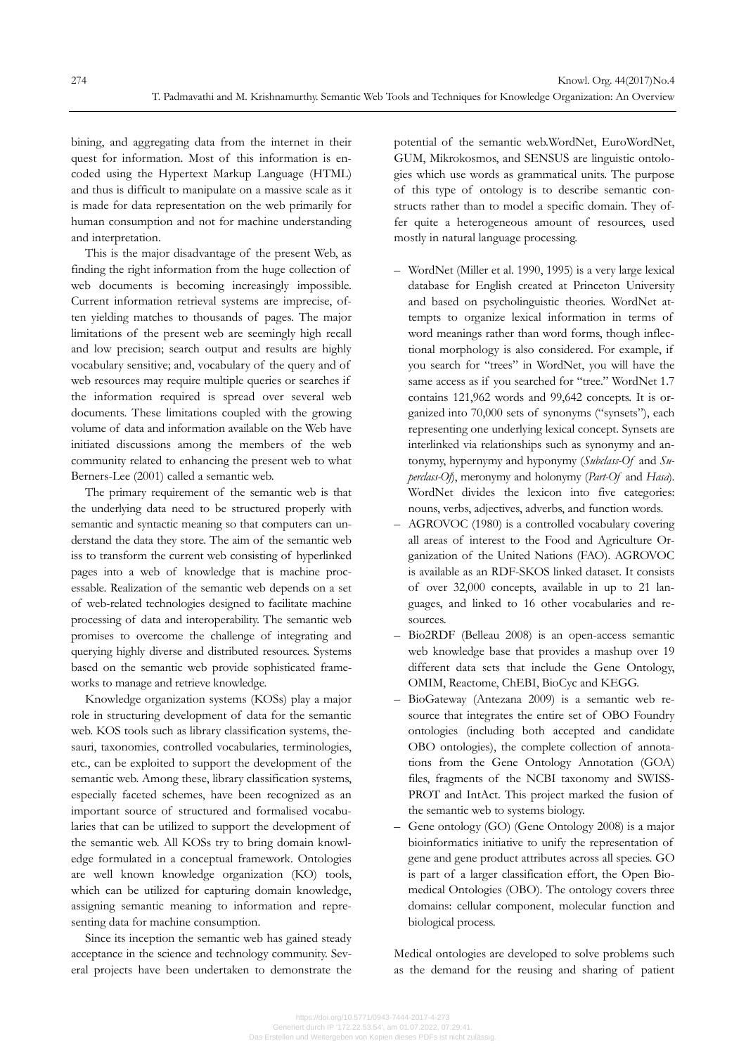bining, and aggregating data from the internet in their quest for information. Most of this information is encoded using the Hypertext Markup Language (HTML) and thus is difficult to manipulate on a massive scale as it is made for data representation on the web primarily for human consumption and not for machine understanding and interpretation.

This is the major disadvantage of the present Web, as finding the right information from the huge collection of web documents is becoming increasingly impossible. Current information retrieval systems are imprecise, often yielding matches to thousands of pages. The major limitations of the present web are seemingly high recall and low precision; search output and results are highly vocabulary sensitive; and, vocabulary of the query and of web resources may require multiple queries or searches if the information required is spread over several web documents. These limitations coupled with the growing volume of data and information available on the Web have initiated discussions among the members of the web community related to enhancing the present web to what Berners-Lee (2001) called a semantic web.

The primary requirement of the semantic web is that the underlying data need to be structured properly with semantic and syntactic meaning so that computers can understand the data they store. The aim of the semantic web iss to transform the current web consisting of hyperlinked pages into a web of knowledge that is machine processable. Realization of the semantic web depends on a set of web-related technologies designed to facilitate machine processing of data and interoperability. The semantic web promises to overcome the challenge of integrating and querying highly diverse and distributed resources. Systems based on the semantic web provide sophisticated frameworks to manage and retrieve knowledge.

Knowledge organization systems (KOSs) play a major role in structuring development of data for the semantic web. KOS tools such as library classification systems, thesauri, taxonomies, controlled vocabularies, terminologies, etc., can be exploited to support the development of the semantic web. Among these, library classification systems, especially faceted schemes, have been recognized as an important source of structured and formalised vocabularies that can be utilized to support the development of the semantic web. All KOSs try to bring domain knowledge formulated in a conceptual framework. Ontologies are well known knowledge organization (KO) tools, which can be utilized for capturing domain knowledge, assigning semantic meaning to information and representing data for machine consumption.

Since its inception the semantic web has gained steady acceptance in the science and technology community. Several projects have been undertaken to demonstrate the potential of the semantic web.WordNet, EuroWordNet, GUM, Mikrokosmos, and SENSUS are linguistic ontologies which use words as grammatical units. The purpose of this type of ontology is to describe semantic constructs rather than to model a specific domain. They offer quite a heterogeneous amount of resources, used mostly in natural language processing.

- WordNet (Miller et al. 1990, 1995) is a very large lexical database for English created at Princeton University and based on psycholinguistic theories. WordNet attempts to organize lexical information in terms of word meanings rather than word forms, though inflectional morphology is also considered. For example, if you search for "trees" in WordNet, you will have the same access as if you searched for "tree." WordNet 1.7 contains 121,962 words and 99,642 concepts. It is organized into 70,000 sets of synonyms ("synsets"), each representing one underlying lexical concept. Synsets are interlinked via relationships such as synonymy and antonymy, hypernymy and hyponymy (*Subclass-Of* and *Superclass-Of*), meronymy and holonymy (*Part-Of* and *Hasa*). WordNet divides the lexicon into five categories: nouns, verbs, adjectives, adverbs, and function words.
- AGROVOC (1980) is a controlled vocabulary covering all areas of interest to the Food and Agriculture Organization of the United Nations (FAO). AGROVOC is available as an RDF-SKOS linked dataset. It consists of over 32,000 concepts, available in up to 21 languages, and linked to 16 other vocabularies and resources.
- Bio2RDF (Belleau 2008) is an open-access semantic web knowledge base that provides a mashup over 19 different data sets that include the Gene Ontology, OMIM, Reactome, ChEBI, BioCyc and KEGG.
- BioGateway (Antezana 2009) is a semantic web resource that integrates the entire set of OBO Foundry ontologies (including both accepted and candidate OBO ontologies), the complete collection of annotations from the Gene Ontology Annotation (GOA) files, fragments of the NCBI taxonomy and SWISS-PROT and IntAct. This project marked the fusion of the semantic web to systems biology.
- Gene ontology (GO) (Gene Ontology 2008) is a major bioinformatics initiative to unify the representation of gene and gene product attributes across all species. GO is part of a larger classification effort, the Open Biomedical Ontologies (OBO). The ontology covers three domains: cellular component, molecular function and biological process.

Medical ontologies are developed to solve problems such as the demand for the reusing and sharing of patient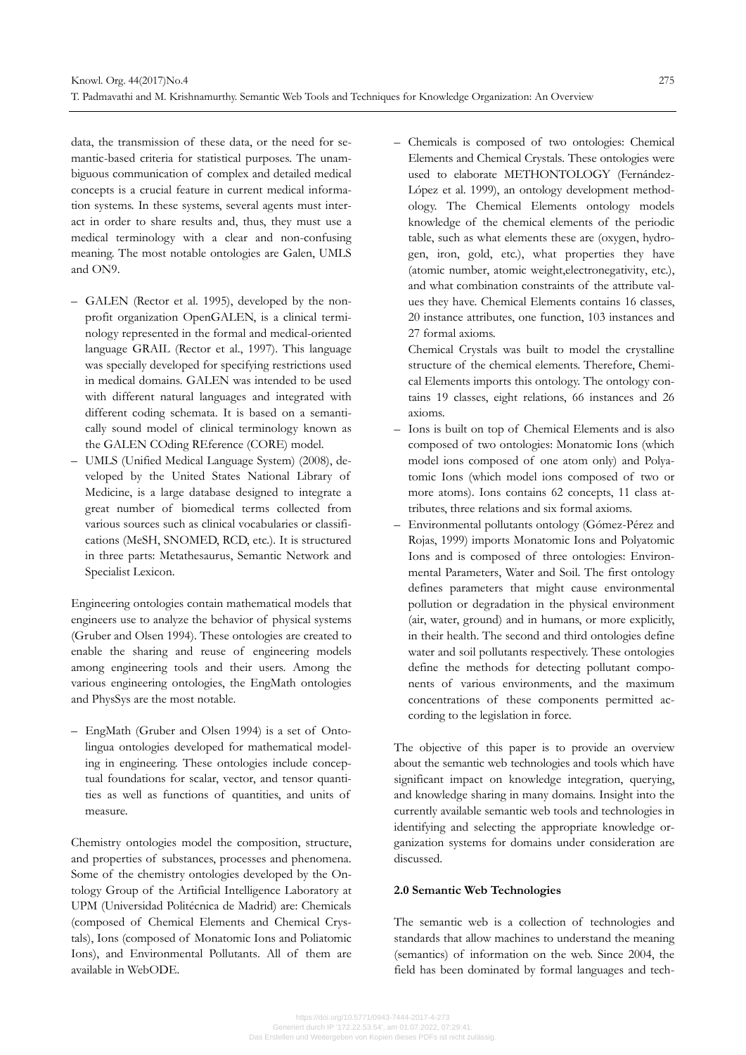data, the transmission of these data, or the need for semantic-based criteria for statistical purposes. The unambiguous communication of complex and detailed medical concepts is a crucial feature in current medical information systems. In these systems, several agents must interact in order to share results and, thus, they must use a medical terminology with a clear and non-confusing meaning. The most notable ontologies are Galen, UMLS and ON9.

- GALEN (Rector et al. 1995), developed by the nonprofit organization OpenGALEN, is a clinical terminology represented in the formal and medical-oriented language GRAIL (Rector et al., 1997). This language was specially developed for specifying restrictions used in medical domains. GALEN was intended to be used with different natural languages and integrated with different coding schemata. It is based on a semantically sound model of clinical terminology known as the GALEN COding REference (CORE) model.
- UMLS (Unified Medical Language System) (2008), developed by the United States National Library of Medicine, is a large database designed to integrate a great number of biomedical terms collected from various sources such as clinical vocabularies or classifications (MeSH, SNOMED, RCD, etc.). It is structured in three parts: Metathesaurus, Semantic Network and Specialist Lexicon.

Engineering ontologies contain mathematical models that engineers use to analyze the behavior of physical systems (Gruber and Olsen 1994). These ontologies are created to enable the sharing and reuse of engineering models among engineering tools and their users. Among the various engineering ontologies, the EngMath ontologies and PhysSys are the most notable.

– EngMath (Gruber and Olsen 1994) is a set of Ontolingua ontologies developed for mathematical modeling in engineering. These ontologies include conceptual foundations for scalar, vector, and tensor quantities as well as functions of quantities, and units of measure.

Chemistry ontologies model the composition, structure, and properties of substances, processes and phenomena. Some of the chemistry ontologies developed by the Ontology Group of the Artificial Intelligence Laboratory at UPM (Universidad Politécnica de Madrid) are: Chemicals (composed of Chemical Elements and Chemical Crystals), Ions (composed of Monatomic Ions and Poliatomic Ions), and Environmental Pollutants. All of them are available in WebODE.

– Chemicals is composed of two ontologies: Chemical Elements and Chemical Crystals. These ontologies were used to elaborate METHONTOLOGY (Fernández-López et al. 1999), an ontology development methodology. The Chemical Elements ontology models knowledge of the chemical elements of the periodic table, such as what elements these are (oxygen, hydrogen, iron, gold, etc.), what properties they have (atomic number, atomic weight,electronegativity, etc.), and what combination constraints of the attribute values they have. Chemical Elements contains 16 classes, 20 instance attributes, one function, 103 instances and 27 formal axioms.

 Chemical Crystals was built to model the crystalline structure of the chemical elements. Therefore, Chemical Elements imports this ontology. The ontology contains 19 classes, eight relations, 66 instances and 26 axioms.

- Ions is built on top of Chemical Elements and is also composed of two ontologies: Monatomic Ions (which model ions composed of one atom only) and Polyatomic Ions (which model ions composed of two or more atoms). Ions contains 62 concepts, 11 class attributes, three relations and six formal axioms.
- Environmental pollutants ontology (Gómez-Pérez and Rojas, 1999) imports Monatomic Ions and Polyatomic Ions and is composed of three ontologies: Environmental Parameters, Water and Soil. The first ontology defines parameters that might cause environmental pollution or degradation in the physical environment (air, water, ground) and in humans, or more explicitly, in their health. The second and third ontologies define water and soil pollutants respectively. These ontologies define the methods for detecting pollutant components of various environments, and the maximum concentrations of these components permitted according to the legislation in force.

The objective of this paper is to provide an overview about the semantic web technologies and tools which have significant impact on knowledge integration, querying, and knowledge sharing in many domains. Insight into the currently available semantic web tools and technologies in identifying and selecting the appropriate knowledge organization systems for domains under consideration are discussed.

# **2.0 Semantic Web Technologies**

The semantic web is a collection of technologies and standards that allow machines to understand the meaning (semantics) of information on the web. Since 2004, the field has been dominated by formal languages and tech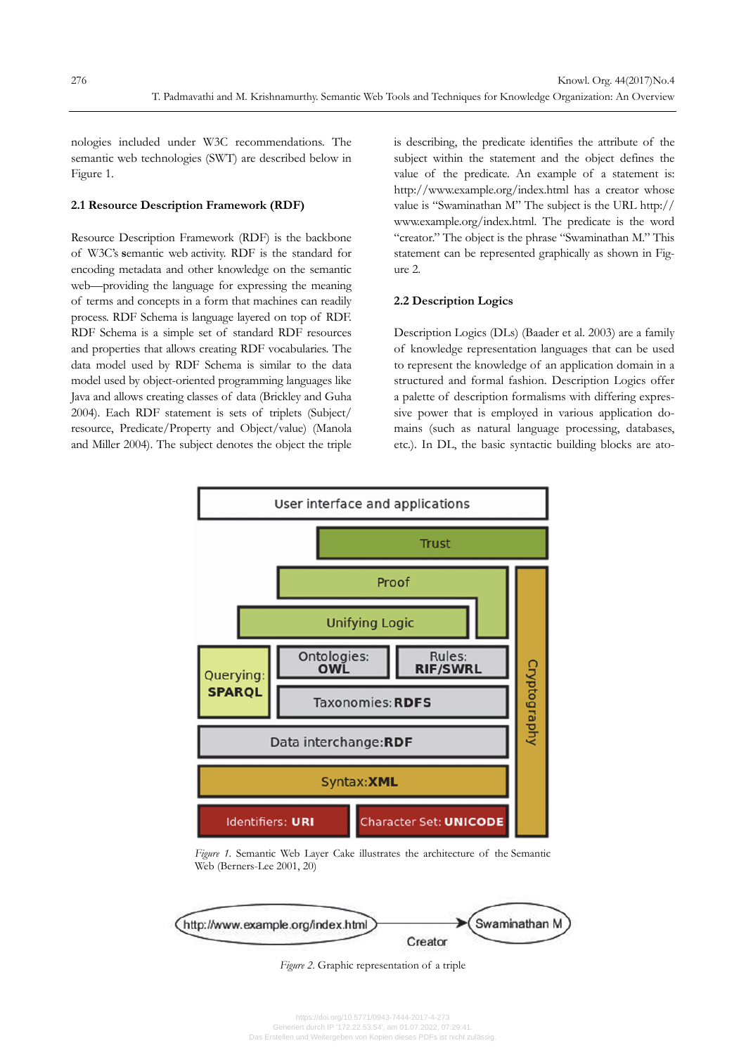nologies included under W3C recommendations. The semantic web technologies (SWT) are described below in Figure 1.

#### **2.1 Resource Description Framework (RDF)**

Resource Description Framework (RDF) is the backbone of W3C's **s**emantic web activity. RDF is the standard for encoding metadata and other knowledge on the semantic web—providing the language for expressing the meaning of terms and concepts in a form that machines can readily process. RDF Schema is language layered on top of RDF. RDF Schema is a simple set of standard RDF resources and properties that allows creating RDF vocabularies. The data model used by RDF Schema is similar to the data model used by object-oriented programming languages like Java and allows creating classes of data (Brickley and Guha 2004). Each RDF statement is sets of triplets (Subject/ resource, Predicate/Property and Object/value) (Manola and Miller 2004). The subject denotes the object the triple is describing, the predicate identifies the attribute of the subject within the statement and the object defines the value of the predicate. An example of a statement is: http://www.example.org/index.html has a creator whose value is "Swaminathan M" The subject is the URL http:// www.example.org/index.html. The predicate is the word "creator." The object is the phrase "Swaminathan M." This statement can be represented graphically as shown in Figure 2.

#### **2.2 Description Logics**

Description Logics (DLs) (Baader et al. 2003) are a family of knowledge representation languages that can be used to represent the knowledge of an application domain in a structured and formal fashion. Description Logics offer a palette of description formalisms with differing expressive power that is employed in various application domains (such as natural language processing, databases, etc.). In DL, the basic syntactic building blocks are ato-



*Figure 1.* Semantic Web Layer Cake illustrates the architecture of the Semantic Web (Berners-Lee 2001, 20)



*Figure 2*. Graphic representation of a triple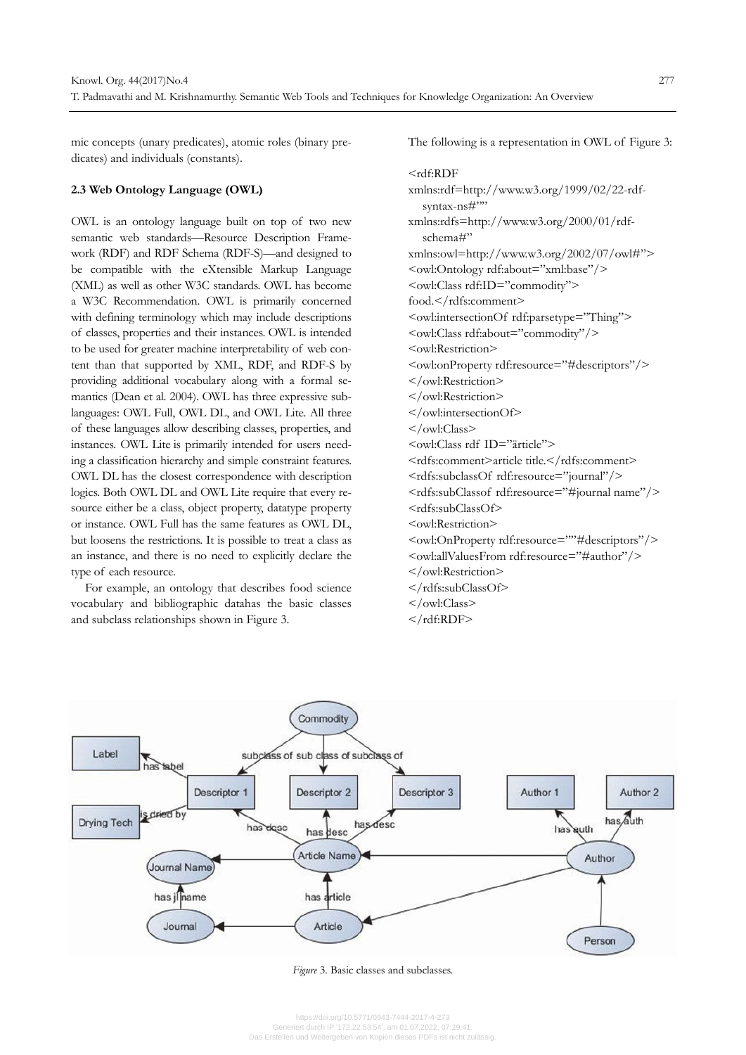mic concepts (unary predicates), atomic roles (binary predicates) and individuals (constants).

#### **2.3 Web Ontology Language (OWL)**

OWL is an ontology language built on top of two new semantic web standards—Resource Description Framework (RDF) and RDF Schema (RDF-S)—and designed to be compatible with the eXtensible Markup Language (XML) as well as other W3C standards. OWL has become a W3C Recommendation. OWL is primarily concerned with defining terminology which may include descriptions of classes, properties and their instances. OWL is intended to be used for greater machine interpretability of web content than that supported by XML, RDF, and RDF-S by providing additional vocabulary along with a formal semantics (Dean et al. 2004). OWL has three expressive sublanguages: OWL Full, OWL DL, and OWL Lite. All three of these languages allow describing classes, properties, and instances. OWL Lite is primarily intended for users needing a classification hierarchy and simple constraint features. OWL DL has the closest correspondence with description logics. Both OWL DL and OWL Lite require that every resource either be a class, object property, datatype property or instance. OWL Full has the same features as OWL DL, but loosens the restrictions. It is possible to treat a class as an instance, and there is no need to explicitly declare the type of each resource.

For example, an ontology that describes food science vocabulary and bibliographic datahas the basic classes and subclass relationships shown in Figure 3.

The following is a representation in OWL of Figure 3:

# <rdf:RDF

xmlns:rdf=http://www.w3.org/1999/02/22-rdfsyntax-ns#"" xmlns:rdfs=http://www.w3.org/2000/01/rdfschema#" xmlns:owl=http://www.w3.org/2002/07/owl#"> <owl:Ontology rdf:about="xml:base"/> <owl:Class rdf:ID="commodity"> food.</rdfs:comment> <owl:intersectionOf rdf:parsetype="Thing"> <owl:Class rdf:about="commodity"/> <owl:Restriction> <owl:onProperty rdf:resource="#descriptors"/> </owl:Restriction> </owl:Restriction> </owl:intersectionOf> </owl:Class> <owl:Class rdf ID="ärticle"> <rdfs:comment>article title.</rdfs:comment> <rdfs:subclassOf rdf:resource="journal"/> <rdfs:subClassof rdf:resource="#journal name"/> <rdfs:subClassOf> <owl:Restriction> <owl:OnProperty rdf:resource=""#descriptors"/> <owl:allValuesFrom rdf:resource="#author"/> </owl:Restriction> </rdfs:subClassOf> </owl:Class> </rdf:RDF>



*Figure* 3. Basic classes and subclasses.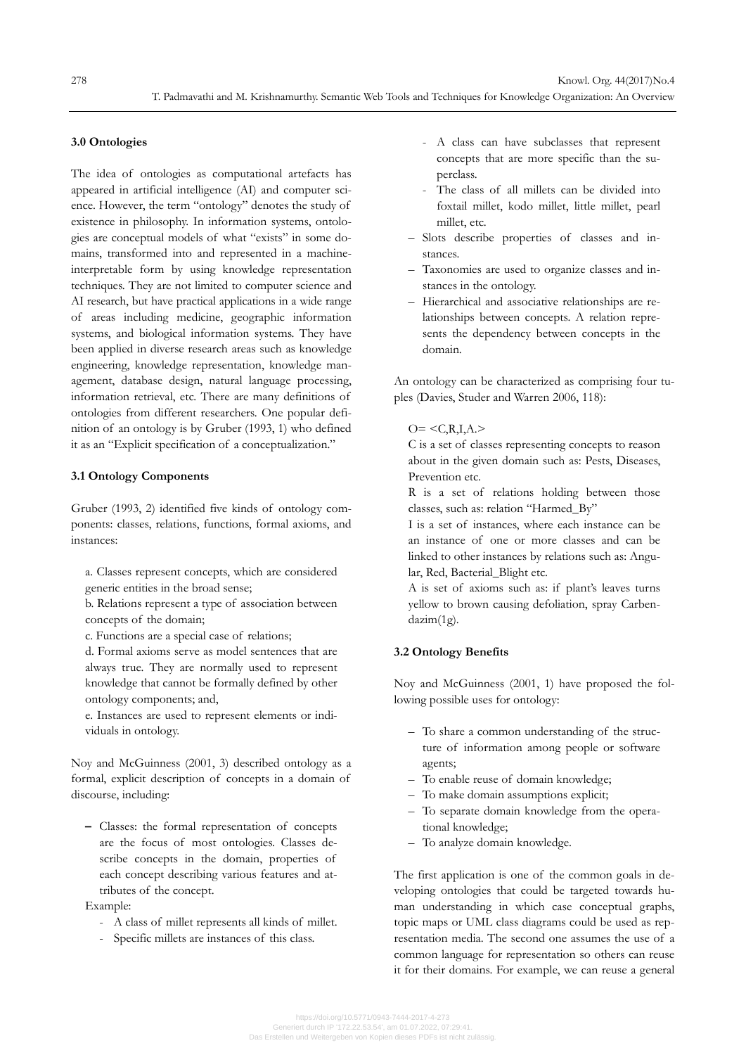#### **3.0 Ontologies**

The idea of ontologies as computational artefacts has appeared in artificial intelligence (AI) and computer science. However, the term "ontology" denotes the study of existence in philosophy. In information systems, ontologies are conceptual models of what "exists" in some domains, transformed into and represented in a machineinterpretable form by using knowledge representation techniques. They are not limited to computer science and AI research, but have practical applications in a wide range of areas including medicine, geographic information systems, and biological information systems. They have been applied in diverse research areas such as knowledge engineering, knowledge representation, knowledge management, database design, natural language processing, information retrieval, etc. There are many definitions of ontologies from different researchers. One popular definition of an ontology is by Gruber (1993, 1) who defined it as an "Explicit specification of a conceptualization."

#### **3.1 Ontology Components**

Gruber (1993, 2) identified five kinds of ontology components: classes, relations, functions, formal axioms, and instances:

a. Classes represent concepts, which are considered generic entities in the broad sense;

b. Relations represent a type of association between concepts of the domain;

c. Functions are a special case of relations;

d. Formal axioms serve as model sentences that are always true. They are normally used to represent knowledge that cannot be formally defined by other ontology components; and,

e. Instances are used to represent elements or individuals in ontology.

Noy and McGuinness (2001, 3) described ontology as a formal, explicit description of concepts in a domain of discourse, including:

**–** Classes: the formal representation of concepts are the focus of most ontologies. Classes describe concepts in the domain, properties of each concept describing various features and attributes of the concept.

Example:

- A class of millet represents all kinds of millet.
- Specific millets are instances of this class.
- A class can have subclasses that represent concepts that are more specific than the superclass.
- The class of all millets can be divided into foxtail millet, kodo millet, little millet, pearl millet, etc.
- Slots describe properties of classes and instances.
- Taxonomies are used to organize classes and instances in the ontology.
- Hierarchical and associative relationships are relationships between concepts. A relation represents the dependency between concepts in the domain.

An ontology can be characterized as comprising four tuples (Davies, Studer and Warren 2006, 118):

#### $O = \langle C, R, I, A. \rangle$

C is a set of classes representing concepts to reason about in the given domain such as: Pests, Diseases, Prevention etc.

R is a set of relations holding between those classes, such as: relation "Harmed\_By"

I is a set of instances, where each instance can be an instance of one or more classes and can be linked to other instances by relations such as: Angular, Red, Bacterial\_Blight etc.

A is set of axioms such as: if plant's leaves turns yellow to brown causing defoliation, spray Carbendazim(1g).

# **3.2 Ontology Benefits**

Noy and McGuinness (2001, 1) have proposed the following possible uses for ontology:

- To share a common understanding of the structure of information among people or software agents;
- To enable reuse of domain knowledge;
- To make domain assumptions explicit;
- To separate domain knowledge from the operational knowledge;
- To analyze domain knowledge.

The first application is one of the common goals in developing ontologies that could be targeted towards human understanding in which case conceptual graphs, topic maps or UML class diagrams could be used as representation media. The second one assumes the use of a common language for representation so others can reuse it for their domains. For example, we can reuse a general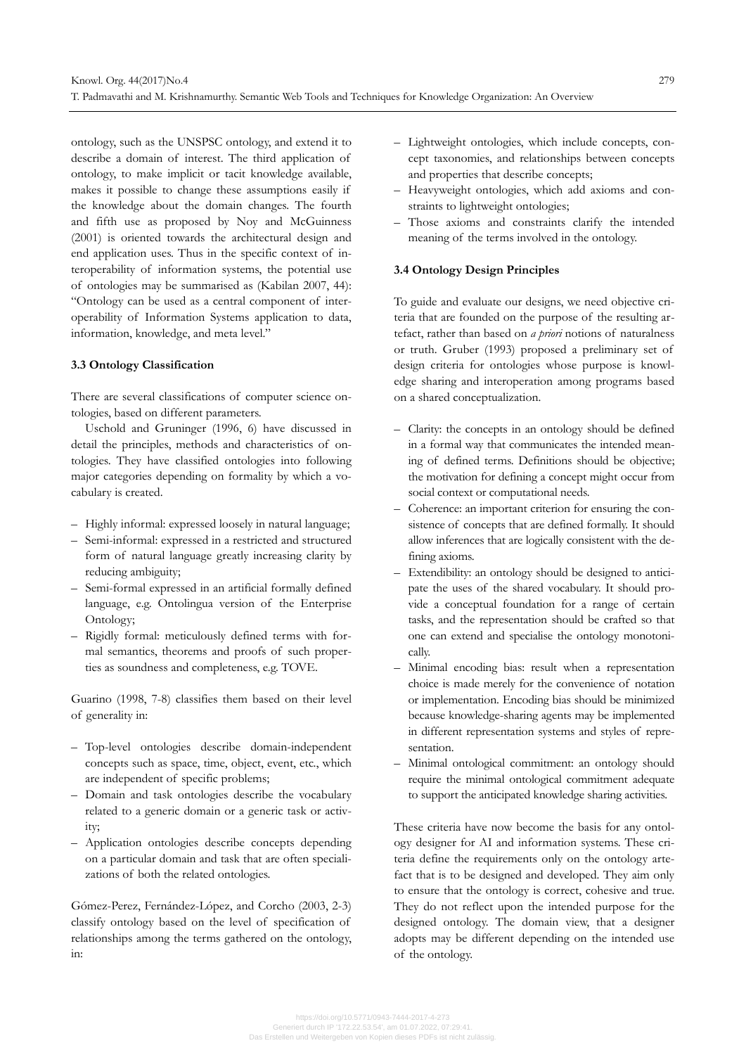ontology, such as the UNSPSC ontology, and extend it to describe a domain of interest. The third application of ontology, to make implicit or tacit knowledge available, makes it possible to change these assumptions easily if the knowledge about the domain changes. The fourth and fifth use as proposed by Noy and McGuinness (2001) is oriented towards the architectural design and end application uses. Thus in the specific context of interoperability of information systems, the potential use of ontologies may be summarised as (Kabilan 2007, 44): "Ontology can be used as a central component of interoperability of Information Systems application to data, information, knowledge, and meta level."

#### **3.3 Ontology Classification**

There are several classifications of computer science ontologies, based on different parameters.

Uschold and Gruninger (1996, 6) have discussed in detail the principles, methods and characteristics of ontologies. They have classified ontologies into following major categories depending on formality by which a vocabulary is created.

- Highly informal: expressed loosely in natural language;
- Semi-informal: expressed in a restricted and structured form of natural language greatly increasing clarity by reducing ambiguity;
- Semi-formal expressed in an artificial formally defined language, e.g. Ontolingua version of the Enterprise Ontology;
- Rigidly formal: meticulously defined terms with formal semantics, theorems and proofs of such properties as soundness and completeness, e.g. TOVE.

Guarino (1998, 7-8) classifies them based on their level of generality in:

- Top-level ontologies describe domain-independent concepts such as space, time, object, event, etc., which are independent of specific problems;
- Domain and task ontologies describe the vocabulary related to a generic domain or a generic task or activity;
- Application ontologies describe concepts depending on a particular domain and task that are often specializations of both the related ontologies.

Gómez-Perez, Fernández-López, and Corcho (2003, 2-3) classify ontology based on the level of specification of relationships among the terms gathered on the ontology, in:

- Lightweight ontologies, which include concepts, concept taxonomies, and relationships between concepts and properties that describe concepts;
- Heavyweight ontologies, which add axioms and constraints to lightweight ontologies;
- Those axioms and constraints clarify the intended meaning of the terms involved in the ontology.

#### **3.4 Ontology Design Principles**

To guide and evaluate our designs, we need objective criteria that are founded on the purpose of the resulting artefact, rather than based on *a priori* notions of naturalness or truth. Gruber (1993) proposed a preliminary set of design criteria for ontologies whose purpose is knowledge sharing and interoperation among programs based on a shared conceptualization.

- Clarity: the concepts in an ontology should be defined in a formal way that communicates the intended meaning of defined terms. Definitions should be objective; the motivation for defining a concept might occur from social context or computational needs.
- Coherence: an important criterion for ensuring the consistence of concepts that are defined formally. It should allow inferences that are logically consistent with the defining axioms.
- Extendibility: an ontology should be designed to anticipate the uses of the shared vocabulary. It should provide a conceptual foundation for a range of certain tasks, and the representation should be crafted so that one can extend and specialise the ontology monotonically.
- Minimal encoding bias: result when a representation choice is made merely for the convenience of notation or implementation. Encoding bias should be minimized because knowledge-sharing agents may be implemented in different representation systems and styles of representation.
- Minimal ontological commitment: an ontology should require the minimal ontological commitment adequate to support the anticipated knowledge sharing activities.

These criteria have now become the basis for any ontology designer for AI and information systems. These criteria define the requirements only on the ontology artefact that is to be designed and developed. They aim only to ensure that the ontology is correct, cohesive and true. They do not reflect upon the intended purpose for the designed ontology. The domain view, that a designer adopts may be different depending on the intended use of the ontology.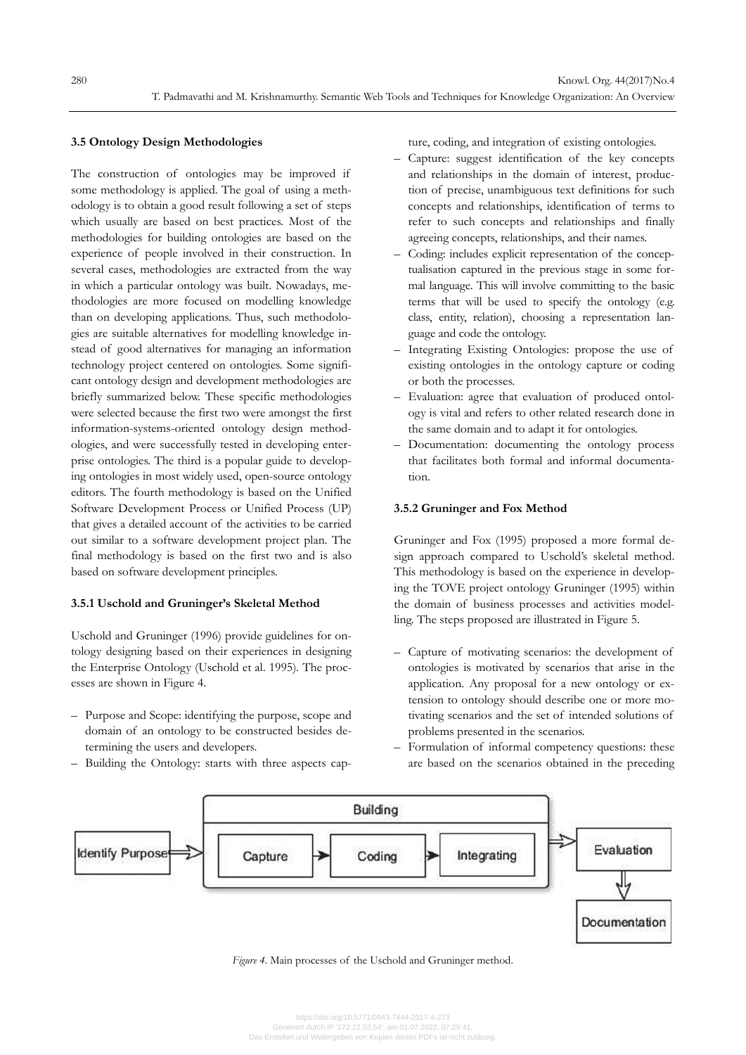#### **3.5 Ontology Design Methodologies**

The construction of ontologies may be improved if some methodology is applied. The goal of using a methodology is to obtain a good result following a set of steps which usually are based on best practices. Most of the methodologies for building ontologies are based on the experience of people involved in their construction. In several cases, methodologies are extracted from the way in which a particular ontology was built. Nowadays, methodologies are more focused on modelling knowledge than on developing applications. Thus, such methodologies are suitable alternatives for modelling knowledge instead of good alternatives for managing an information technology project centered on ontologies. Some significant ontology design and development methodologies are briefly summarized below. These specific methodologies were selected because the first two were amongst the first information-systems-oriented ontology design methodologies, and were successfully tested in developing enterprise ontologies. The third is a popular guide to developing ontologies in most widely used, open-source ontology editors. The fourth methodology is based on the Unified Software Development Process or Unified Process (UP) that gives a detailed account of the activities to be carried out similar to a software development project plan. The final methodology is based on the first two and is also based on software development principles.

#### **3.5.1 Uschold and Gruninger's Skeletal Method**

Uschold and Gruninger (1996) provide guidelines for ontology designing based on their experiences in designing the Enterprise Ontology (Uschold et al. 1995). The processes are shown in Figure 4.

- Purpose and Scope: identifying the purpose, scope and domain of an ontology to be constructed besides determining the users and developers.
- Building the Ontology: starts with three aspects cap-

ture, coding, and integration of existing ontologies.

- Capture: suggest identification of the key concepts and relationships in the domain of interest, production of precise, unambiguous text definitions for such concepts and relationships, identification of terms to refer to such concepts and relationships and finally agreeing concepts, relationships, and their names.
- Coding: includes explicit representation of the conceptualisation captured in the previous stage in some formal language. This will involve committing to the basic terms that will be used to specify the ontology (e.g. class, entity, relation), choosing a representation language and code the ontology.
- Integrating Existing Ontologies: propose the use of existing ontologies in the ontology capture or coding or both the processes.
- Evaluation: agree that evaluation of produced ontology is vital and refers to other related research done in the same domain and to adapt it for ontologies.
- Documentation: documenting the ontology process that facilitates both formal and informal documentation.

#### **3.5.2 Gruninger and Fox Method**

Gruninger and Fox (1995) proposed a more formal design approach compared to Uschold's skeletal method. This methodology is based on the experience in developing the TOVE project ontology Gruninger (1995) within the domain of business processes and activities modelling. The steps proposed are illustrated in Figure 5.

- Capture of motivating scenarios: the development of ontologies is motivated by scenarios that arise in the application. Any proposal for a new ontology or extension to ontology should describe one or more motivating scenarios and the set of intended solutions of problems presented in the scenarios.
- Formulation of informal competency questions: these are based on the scenarios obtained in the preceding



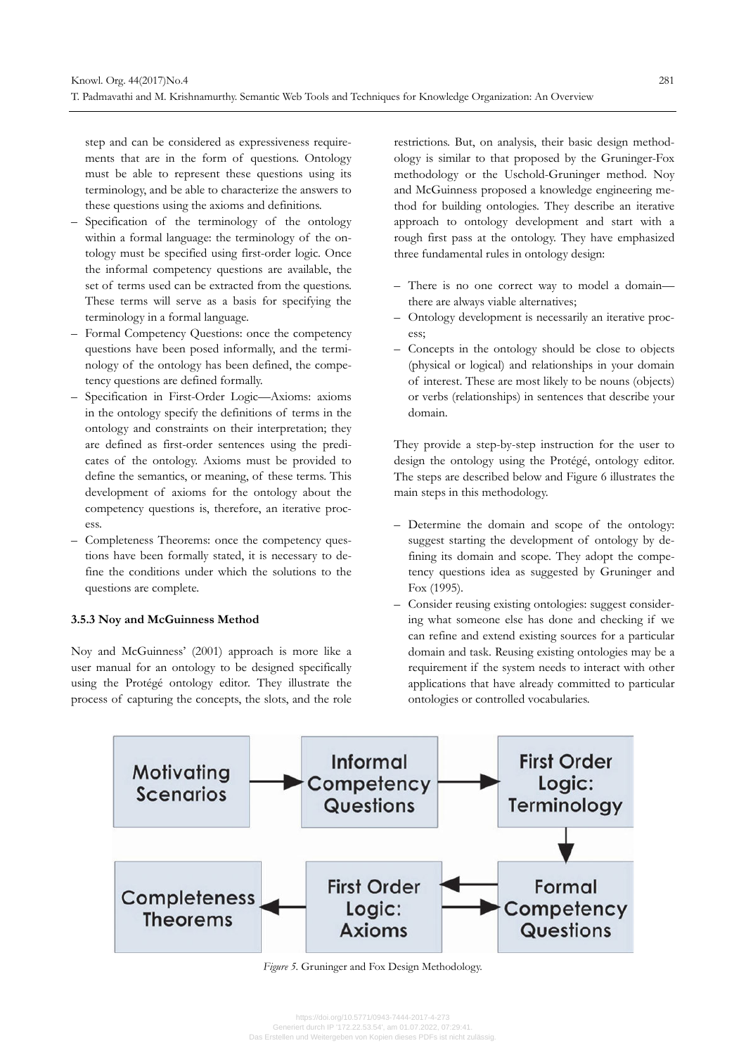step and can be considered as expressiveness requirements that are in the form of questions. Ontology must be able to represent these questions using its terminology, and be able to characterize the answers to these questions using the axioms and definitions.

- Specification of the terminology of the ontology within a formal language: the terminology of the ontology must be specified using first-order logic. Once the informal competency questions are available, the set of terms used can be extracted from the questions. These terms will serve as a basis for specifying the terminology in a formal language.
- Formal Competency Questions: once the competency questions have been posed informally, and the terminology of the ontology has been defined, the competency questions are defined formally.
- Specification in First-Order Logic—Axioms: axioms in the ontology specify the definitions of terms in the ontology and constraints on their interpretation; they are defined as first-order sentences using the predicates of the ontology. Axioms must be provided to define the semantics, or meaning, of these terms. This development of axioms for the ontology about the competency questions is, therefore, an iterative process.
- Completeness Theorems: once the competency questions have been formally stated, it is necessary to define the conditions under which the solutions to the questions are complete.

#### **3.5.3 Noy and McGuinness Method**

Noy and McGuinness' (2001) approach is more like a user manual for an ontology to be designed specifically using the Protégé ontology editor. They illustrate the process of capturing the concepts, the slots, and the role

restrictions. But, on analysis, their basic design methodology is similar to that proposed by the Gruninger-Fox methodology or the Uschold-Gruninger method. Noy and McGuinness proposed a knowledge engineering method for building ontologies. They describe an iterative approach to ontology development and start with a rough first pass at the ontology. They have emphasized three fundamental rules in ontology design:

- There is no one correct way to model a domain there are always viable alternatives;
- Ontology development is necessarily an iterative process;
- Concepts in the ontology should be close to objects (physical or logical) and relationships in your domain of interest. These are most likely to be nouns (objects) or verbs (relationships) in sentences that describe your domain.

They provide a step-by-step instruction for the user to design the ontology using the Protégé, ontology editor. The steps are described below and Figure 6 illustrates the main steps in this methodology.

- Determine the domain and scope of the ontology: suggest starting the development of ontology by defining its domain and scope. They adopt the competency questions idea as suggested by Gruninger and Fox (1995).
- Consider reusing existing ontologies: suggest considering what someone else has done and checking if we can refine and extend existing sources for a particular domain and task. Reusing existing ontologies may be a requirement if the system needs to interact with other applications that have already committed to particular ontologies or controlled vocabularies.



*Figure 5*. Gruninger and Fox Design Methodology.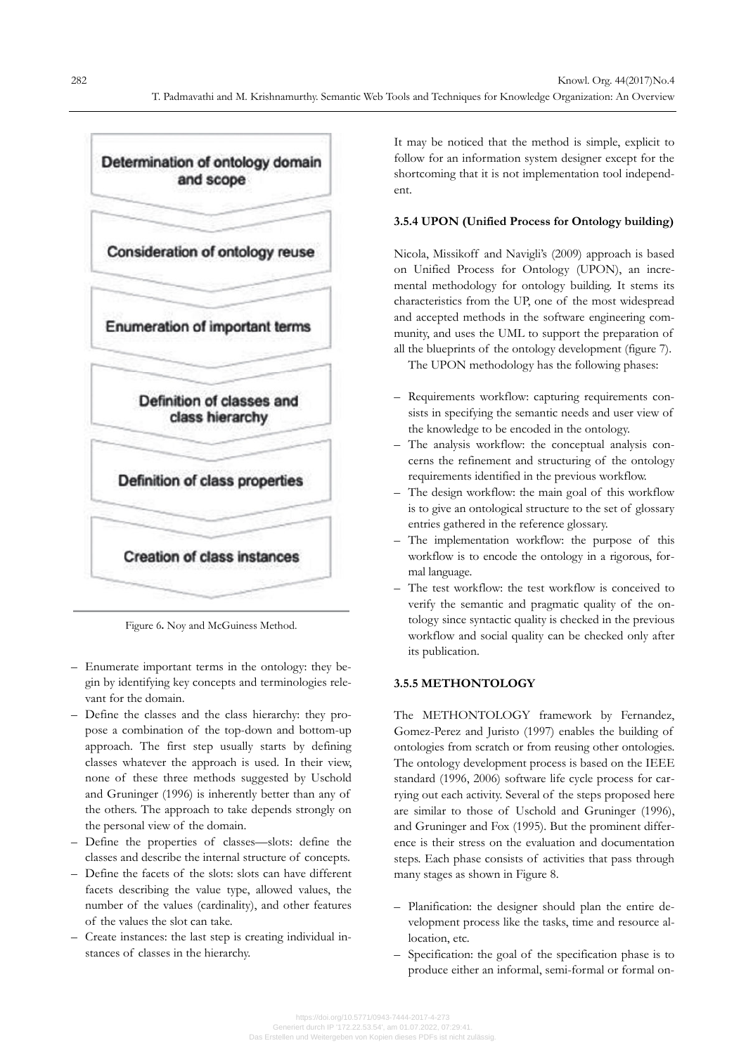

Figure 6**.** Noy and McGuiness Method.

- Enumerate important terms in the ontology: they begin by identifying key concepts and terminologies relevant for the domain.
- Define the classes and the class hierarchy: they propose a combination of the top-down and bottom-up approach. The first step usually starts by defining classes whatever the approach is used. In their view, none of these three methods suggested by Uschold and Gruninger (1996) is inherently better than any of the others. The approach to take depends strongly on the personal view of the domain.
- Define the properties of classes—slots: define the classes and describe the internal structure of concepts.
- Define the facets of the slots: slots can have different facets describing the value type, allowed values, the number of the values (cardinality), and other features of the values the slot can take.
- Create instances: the last step is creating individual instances of classes in the hierarchy.

It may be noticed that the method is simple, explicit to follow for an information system designer except for the shortcoming that it is not implementation tool independent.

# **3.5.4 UPON (Unified Process for Ontology building)**

Nicola, Missikoff and Navigli's (2009) approach is based on Unified Process for Ontology (UPON), an incremental methodology for ontology building. It stems its characteristics from the UP, one of the most widespread and accepted methods in the software engineering community, and uses the UML to support the preparation of all the blueprints of the ontology development (figure 7).

The UPON methodology has the following phases:

- Requirements workflow: capturing requirements consists in specifying the semantic needs and user view of the knowledge to be encoded in the ontology.
- The analysis workflow: the conceptual analysis concerns the refinement and structuring of the ontology requirements identified in the previous workflow.
- The design workflow: the main goal of this workflow is to give an ontological structure to the set of glossary entries gathered in the reference glossary.
- The implementation workflow: the purpose of this workflow is to encode the ontology in a rigorous, formal language.
- The test workflow: the test workflow is conceived to verify the semantic and pragmatic quality of the ontology since syntactic quality is checked in the previous workflow and social quality can be checked only after its publication.

# **3.5.5 METHONTOLOGY**

The METHONTOLOGY framework by Fernandez, Gomez-Perez and Juristo (1997) enables the building of ontologies from scratch or from reusing other ontologies. The ontology development process is based on the IEEE standard (1996, 2006) software life cycle process for carrying out each activity. Several of the steps proposed here are similar to those of Uschold and Gruninger (1996), and Gruninger and Fox (1995). But the prominent difference is their stress on the evaluation and documentation steps. Each phase consists of activities that pass through many stages as shown in Figure 8.

- Planification: the designer should plan the entire development process like the tasks, time and resource allocation, etc.
- Specification: the goal of the specification phase is to produce either an informal, semi-formal or formal on-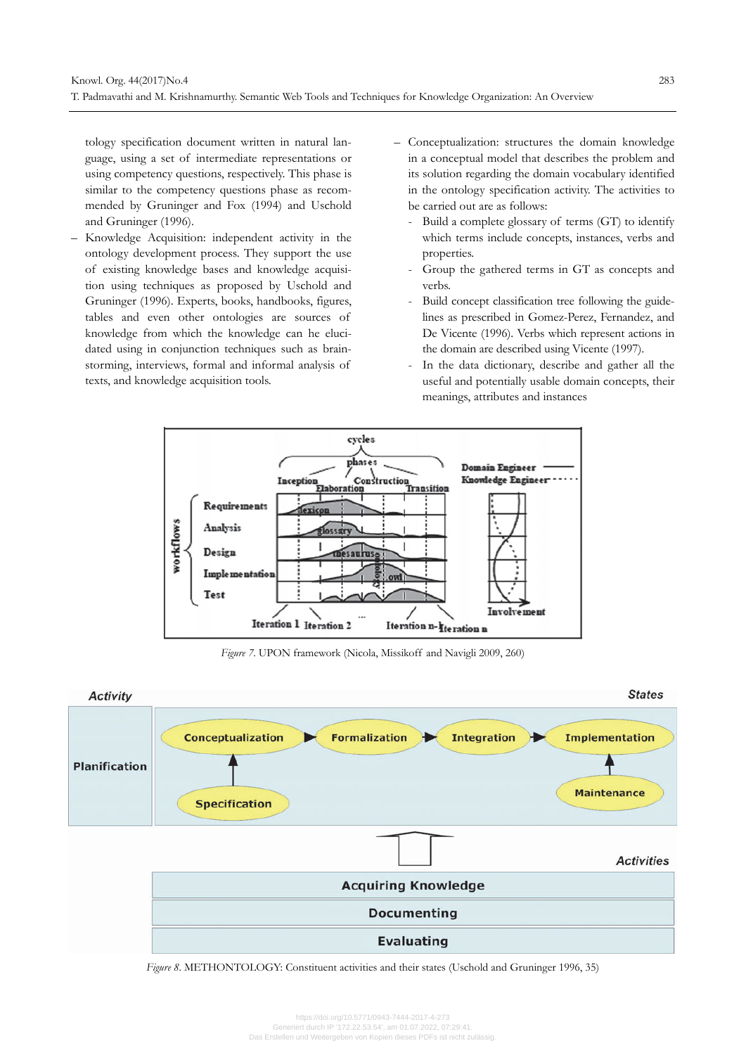tology specification document written in natural language, using a set of intermediate representations or using competency questions, respectively. This phase is similar to the competency questions phase as recommended by Gruninger and Fox (1994) and Uschold and Gruninger (1996).

- Knowledge Acquisition: independent activity in the ontology development process. They support the use of existing knowledge bases and knowledge acquisition using techniques as proposed by Uschold and Gruninger (1996). Experts, books, handbooks, figures, tables and even other ontologies are sources of knowledge from which the knowledge can he elucidated using in conjunction techniques such as brainstorming, interviews, formal and informal analysis of texts, and knowledge acquisition tools.
- Conceptualization: structures the domain knowledge in a conceptual model that describes the problem and its solution regarding the domain vocabulary identified in the ontology specification activity. The activities to be carried out are as follows:
	- Build a complete glossary of terms (GT) to identify which terms include concepts, instances, verbs and properties.
	- Group the gathered terms in GT as concepts and verbs.
	- Build concept classification tree following the guidelines as prescribed in Gomez-Perez, Fernandez, and De Vicente (1996). Verbs which represent actions in the domain are described using Vicente (1997).
	- In the data dictionary, describe and gather all the useful and potentially usable domain concepts, their meanings, attributes and instances



*Figure 7*. UPON framework (Nicola, Missikoff and Navigli 2009, 260)



*Figure 8*. METHONTOLOGY: Constituent activities and their states (Uschold and Gruninger 1996, 35)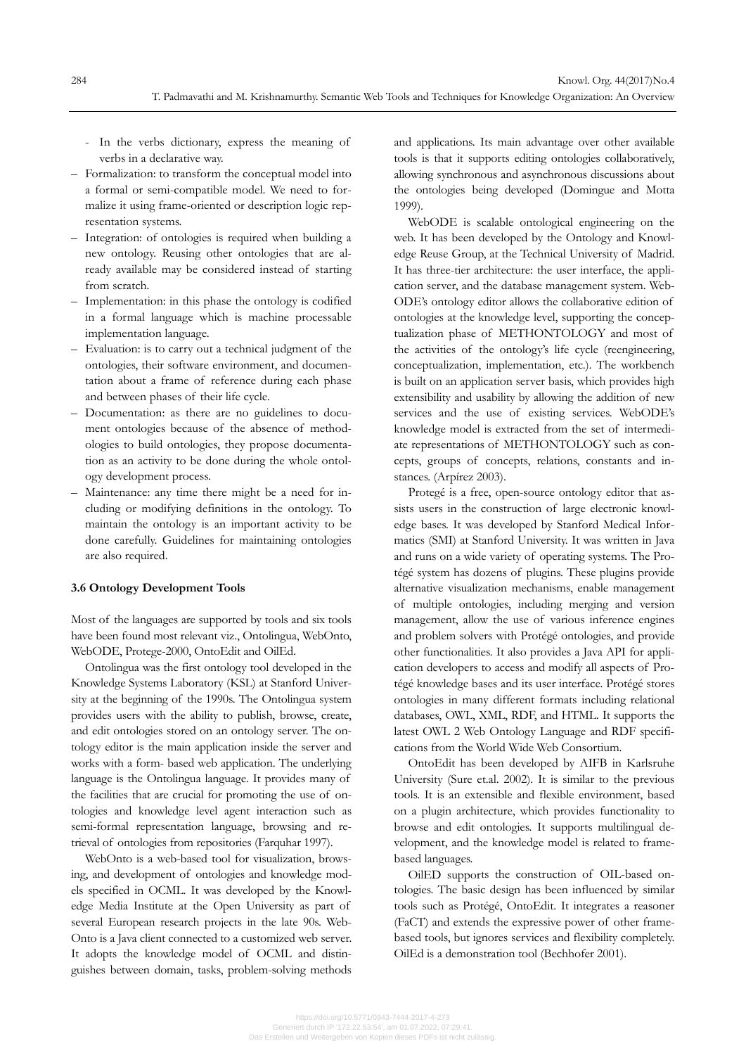- In the verbs dictionary, express the meaning of verbs in a declarative way.
- Formalization: to transform the conceptual model into a formal or semi-compatible model. We need to formalize it using frame-oriented or description logic representation systems.
- Integration: of ontologies is required when building a new ontology. Reusing other ontologies that are already available may be considered instead of starting from scratch.
- Implementation: in this phase the ontology is codified in a formal language which is machine processable implementation language.
- Evaluation: is to carry out a technical judgment of the ontologies, their software environment, and documentation about a frame of reference during each phase and between phases of their life cycle.
- Documentation: as there are no guidelines to document ontologies because of the absence of methodologies to build ontologies, they propose documentation as an activity to be done during the whole ontology development process.
- Maintenance: any time there might be a need for including or modifying definitions in the ontology. To maintain the ontology is an important activity to be done carefully. Guidelines for maintaining ontologies are also required.

#### **3.6 Ontology Development Tools**

Most of the languages are supported by tools and six tools have been found most relevant viz., Ontolingua, WebOnto, WebODE, Protege-2000, OntoEdit and OilEd.

Ontolingua was the first ontology tool developed in the Knowledge Systems Laboratory (KSL) at Stanford University at the beginning of the 1990s. The Ontolingua system provides users with the ability to publish, browse, create, and edit ontologies stored on an ontology server. The ontology editor is the main application inside the server and works with a form- based web application. The underlying language is the Ontolingua language. It provides many of the facilities that are crucial for promoting the use of ontologies and knowledge level agent interaction such as semi-formal representation language, browsing and retrieval of ontologies from repositories (Farquhar 1997).

WebOnto is a web-based tool for visualization, browsing, and development of ontologies and knowledge models specified in OCML. It was developed by the Knowledge Media Institute at the Open University as part of several European research projects in the late 90s. Web-Onto is a Java client connected to a customized web server. It adopts the knowledge model of OCML and distinguishes between domain, tasks, problem-solving methods

and applications. Its main advantage over other available tools is that it supports editing ontologies collaboratively, allowing synchronous and asynchronous discussions about the ontologies being developed (Domingue and Motta 1999).

WebODE is scalable ontological engineering on the web. It has been developed by the Ontology and Knowledge Reuse Group, at the Technical University of Madrid. It has three-tier architecture: the user interface, the application server, and the database management system. Web-ODE's ontology editor allows the collaborative edition of ontologies at the knowledge level, supporting the conceptualization phase of METHONTOLOGY and most of the activities of the ontology's life cycle (reengineering, conceptualization, implementation, etc.). The workbench is built on an application server basis, which provides high extensibility and usability by allowing the addition of new services and the use of existing services. WebODE's knowledge model is extracted from the set of intermediate representations of METHONTOLOGY such as concepts, groups of concepts, relations, constants and instances. (Arpírez 2003).

Protegé is a free, open-source ontology editor that assists users in the construction of large electronic knowledge bases. It was developed by Stanford Medical Informatics (SMI) at Stanford University. It was written in Java and runs on a wide variety of operating systems. The Protégé system has dozens of plugins. These plugins provide alternative visualization mechanisms, enable management of multiple ontologies, including merging and version management, allow the use of various inference engines and problem solvers with Protégé ontologies, and provide other functionalities. It also provides a Java API for application developers to access and modify all aspects of Protégé knowledge bases and its user interface. Protégé stores ontologies in many different formats including relational databases, OWL, XML, RDF, and HTML. It supports the latest OWL 2 Web Ontology Language and RDF specifications from the World Wide Web Consortium.

OntoEdit has been developed by AIFB in Karlsruhe University (Sure et.al. 2002). It is similar to the previous tools. It is an extensible and flexible environment, based on a plugin architecture, which provides functionality to browse and edit ontologies. It supports multilingual development, and the knowledge model is related to framebased languages.

OilED supports the construction of OIL-based ontologies. The basic design has been influenced by similar tools such as Protégé, OntoEdit. It integrates a reasoner (FaCT) and extends the expressive power of other framebased tools, but ignores services and flexibility completely. OilEd is a demonstration tool (Bechhofer 2001).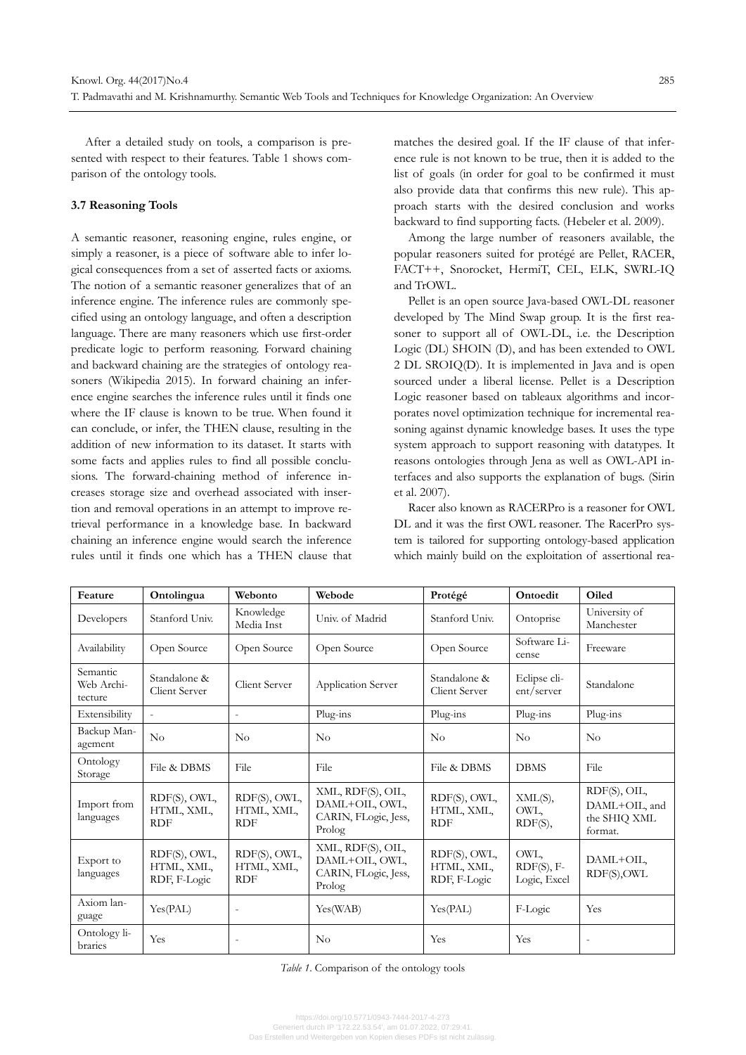After a detailed study on tools, a comparison is presented with respect to their features. Table 1 shows comparison of the ontology tools.

#### **3.7 Reasoning Tools**

A semantic reasoner, reasoning engine, rules engine, or simply a reasoner, is a piece of software able to infer logical consequences from a set of asserted facts or axioms. The notion of a semantic reasoner generalizes that of an inference engine. The inference rules are commonly specified using an ontology language, and often a description language. There are many reasoners which use first-order predicate logic to perform reasoning. Forward chaining and backward chaining are the strategies of ontology reasoners (Wikipedia 2015). In forward chaining an inference engine searches the inference rules until it finds one where the IF clause is known to be true. When found it can conclude, or infer, the THEN clause, resulting in the addition of new information to its dataset. It starts with some facts and applies rules to find all possible conclusions. The forward-chaining method of inference increases storage size and overhead associated with insertion and removal operations in an attempt to improve retrieval performance in a knowledge base. In backward chaining an inference engine would search the inference rules until it finds one which has a THEN clause that

matches the desired goal. If the IF clause of that inference rule is not known to be true, then it is added to the list of goals (in order for goal to be confirmed it must also provide data that confirms this new rule). This approach starts with the desired conclusion and works backward to find supporting facts. (Hebeler et al. 2009).

Among the large number of reasoners available, the popular reasoners suited for protégé are Pellet, RACER, FACT++, Snorocket, HermiT, CEL, ELK, SWRL-IQ and TrOWL.

Pellet is an open source Java-based OWL-DL reasoner developed by The Mind Swap group. It is the first reasoner to support all of OWL-DL, i.e. the Description Logic (DL) SHOIN (D), and has been extended to OWL 2 DL SROIQ(D). It is implemented in Java and is open sourced under a liberal license. Pellet is a Description Logic reasoner based on tableaux algorithms and incorporates novel optimization technique for incremental reasoning against dynamic knowledge bases. It uses the type system approach to support reasoning with datatypes. It reasons ontologies through Jena as well as OWL-API interfaces and also supports the explanation of bugs. (Sirin et al. 2007).

Racer also known as RACERPro is a reasoner for OWL DL and it was the first OWL reasoner. The RacerPro system is tailored for supporting ontology-based application which mainly build on the exploitation of assertional rea-

| Feature                           | Ontolingua                                 | Webonto                                  | Webode                                                                | Protégé                                    | Ontoedit                             | Oiled                                                    |  |
|-----------------------------------|--------------------------------------------|------------------------------------------|-----------------------------------------------------------------------|--------------------------------------------|--------------------------------------|----------------------------------------------------------|--|
| Developers                        | Stanford Univ.                             | Knowledge<br>Media Inst                  | Univ. of Madrid                                                       | Stanford Univ.                             | Ontoprise                            | University of<br>Manchester                              |  |
| Availability                      | Open Source                                | Open Source                              | Open Source                                                           | Open Source                                | Software Li-<br>cense                | Freeware                                                 |  |
| Semantic<br>Web Archi-<br>tecture | Standalone &<br>Client Server              | Client Server                            | Application Server                                                    | Standalone &<br>Client Server              | Eclipse cli-<br>ent/server           | Standalone                                               |  |
| Extensibility                     | $\overline{\phantom{a}}$                   | $\overline{a}$                           | Plug-ins                                                              | Plug-ins                                   | Plug-ins                             | Plug-ins                                                 |  |
| Backup Man-<br>agement            | No                                         | No                                       | No                                                                    | No                                         | $\rm No$                             | No                                                       |  |
| Ontology<br>Storage               | File & DBMS                                | File                                     | File                                                                  | File & DBMS                                | <b>DBMS</b>                          | File                                                     |  |
| Import from<br>languages          | RDF(S), OWL,<br>HTML, XML,<br><b>RDF</b>   | RDF(S), OWL,<br>HTML, XML,<br><b>RDF</b> | XML, RDF(S), OIL,<br>DAML+OIL, OWL,<br>CARIN, FLogic, Jess,<br>Prolog | RDF(S), OWL,<br>HTML, XML,<br><b>RDF</b>   | XML(S),<br>OWL,<br>RDF(S),           | RDF(S), OIL,<br>DAML+OIL, and<br>the SHIQ XML<br>format. |  |
| Export to<br>languages            | RDF(S), OWL,<br>HTML, XML,<br>RDF, F-Logic | RDF(S), OWL,<br>HTML, XML,<br><b>RDF</b> | XML, RDF(S), OIL,<br>DAML+OIL, OWL,<br>CARIN, FLogic, Jess,<br>Prolog | RDF(S), OWL,<br>HTML, XML,<br>RDF, F-Logic | OWL,<br>$RDF(S), F-$<br>Logic, Excel | DAML+OIL,<br>RDF(S), OWL                                 |  |
| Axiom lan-<br>guage               | Yes(PAL)                                   | $\overline{a}$                           | Yes(WAB)                                                              | Yes(PAL)                                   | F-Logic                              | Yes                                                      |  |
| Ontology li-<br>braries           | Yes                                        | $\overline{\phantom{a}}$                 | No                                                                    | Yes                                        | Yes                                  |                                                          |  |

*Table 1*. Comparison of the ontology tools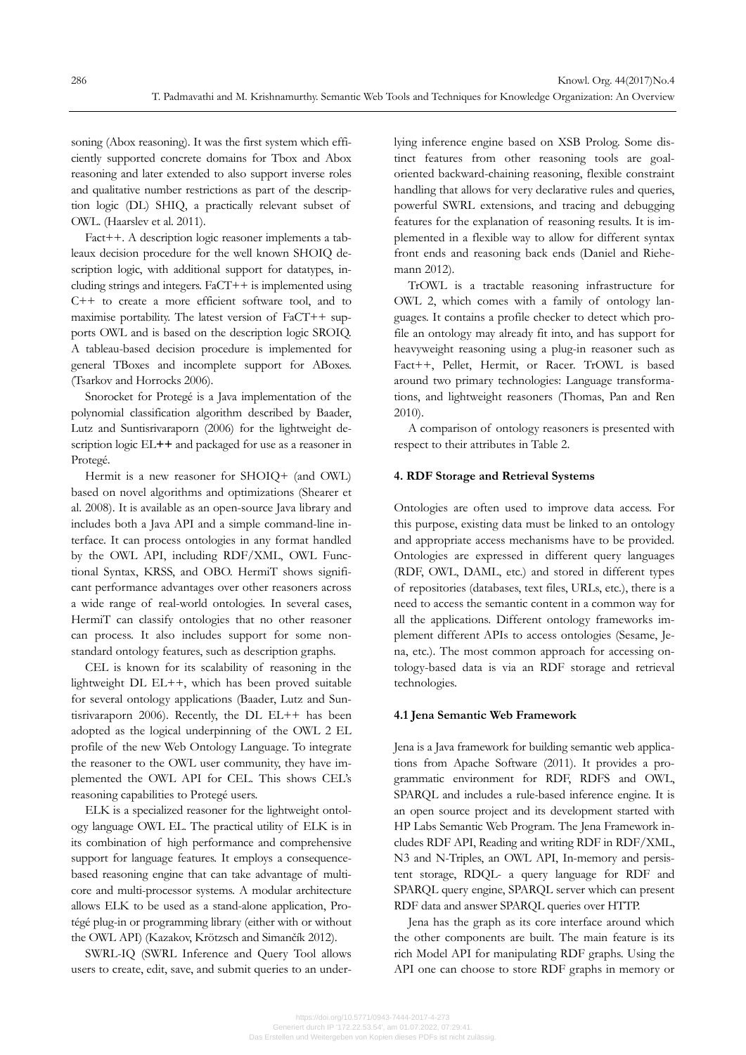soning (Abox reasoning). It was the first system which efficiently supported concrete domains for Tbox and Abox reasoning and later extended to also support inverse roles and qualitative number restrictions as part of the description logic (DL) SHIQ, a practically relevant subset of OWL. (Haarslev et al. 2011).

Fact++. A description logic reasoner implements a tableaux decision procedure for the well known SHOIQ description logic, with additional support for datatypes, including strings and integers. FaCT++ is implemented using C++ to create a more efficient software tool, and to maximise portability. The latest version of FaCT++ supports OWL and is based on the description logic SROIQ. A tableau-based decision procedure is implemented for general TBoxes and incomplete support for ABoxes. (Tsarkov and Horrocks 2006).

Snorocket for Protegé is a Java implementation of the polynomial classification algorithm described by Baader, Lutz and Suntisrivaraporn (2006) for the lightweight description logic EL**++** and packaged for use as a reasoner in Protegé.

Hermit is a new reasoner for SHOIQ+ (and OWL) based on novel algorithms and optimizations (Shearer et al. 2008). It is available as an open-source Java library and includes both a Java API and a simple command-line interface. It can process ontologies in any format handled by the OWL API, including RDF/XML, OWL Functional Syntax, KRSS, and OBO. HermiT shows significant performance advantages over other reasoners across a wide range of real-world ontologies. In several cases, HermiT can classify ontologies that no other reasoner can process. It also includes support for some nonstandard ontology features, such as description graphs.

CEL is known for its scalability of reasoning in the lightweight DL EL++, which has been proved suitable for several ontology applications (Baader, Lutz and Suntisrivaraporn 2006). Recently, the DL EL++ has been adopted as the logical underpinning of the OWL 2 EL profile of the new Web Ontology Language. To integrate the reasoner to the OWL user community, they have implemented the OWL API for CEL. This shows CEL's reasoning capabilities to Protegé users.

ELK is a specialized reasoner for the lightweight ontology language OWL EL. The practical utility of ELK is in its combination of high performance and comprehensive support for language features. It employs a consequencebased reasoning engine that can take advantage of multicore and multi-processor systems. A modular architecture allows ELK to be used as a stand-alone application, Protégé plug-in or programming library (either with or without the OWL API) (Kazakov, Krötzsch and Simančík 2012).

SWRL-IQ (SWRL Inference and Query Tool allows users to create, edit, save, and submit queries to an underlying inference engine based on XSB Prolog. Some distinct features from other reasoning tools are goaloriented backward-chaining reasoning, flexible constraint handling that allows for very declarative rules and queries, powerful SWRL extensions, and tracing and debugging features for the explanation of reasoning results. It is implemented in a flexible way to allow for different syntax front ends and reasoning back ends (Daniel and Riehemann 2012).

TrOWL is a tractable reasoning infrastructure for OWL 2, which comes with a family of ontology languages. It contains a profile checker to detect which profile an ontology may already fit into, and has support for heavyweight reasoning using a plug-in reasoner such as Fact++, Pellet, Hermit, or Racer. TrOWL is based around two primary technologies: Language transformations, and lightweight reasoners (Thomas, Pan and Ren 2010).

A comparison of ontology reasoners is presented with respect to their attributes in Table 2.

#### **4. RDF Storage and Retrieval Systems**

Ontologies are often used to improve data access. For this purpose, existing data must be linked to an ontology and appropriate access mechanisms have to be provided. Ontologies are expressed in different query languages (RDF, OWL, DAML, etc.) and stored in different types of repositories (databases, text files, URLs, etc.), there is a need to access the semantic content in a common way for all the applications. Different ontology frameworks implement different APIs to access ontologies (Sesame, Jena, etc.). The most common approach for accessing ontology-based data is via an RDF storage and retrieval technologies.

#### **4.1 Jena Semantic Web Framework**

Jena is a Java framework for building semantic web applications from Apache Software (2011). It provides a programmatic environment for RDF, RDFS and OWL, SPARQL and includes a rule-based inference engine. It is an open source project and its development started with HP Labs Semantic Web Program. The Jena Framework includes RDF API, Reading and writing RDF in RDF/XML, N3 and N-Triples, an OWL API, In-memory and persistent storage, RDQL- a query language for RDF and SPARQL query engine, SPARQL server which can present RDF data and answer SPARQL queries over HTTP.

Jena has the graph as its core interface around which the other components are built. The main feature is its rich Model API for manipulating RDF graphs. Using the API one can choose to store RDF graphs in memory or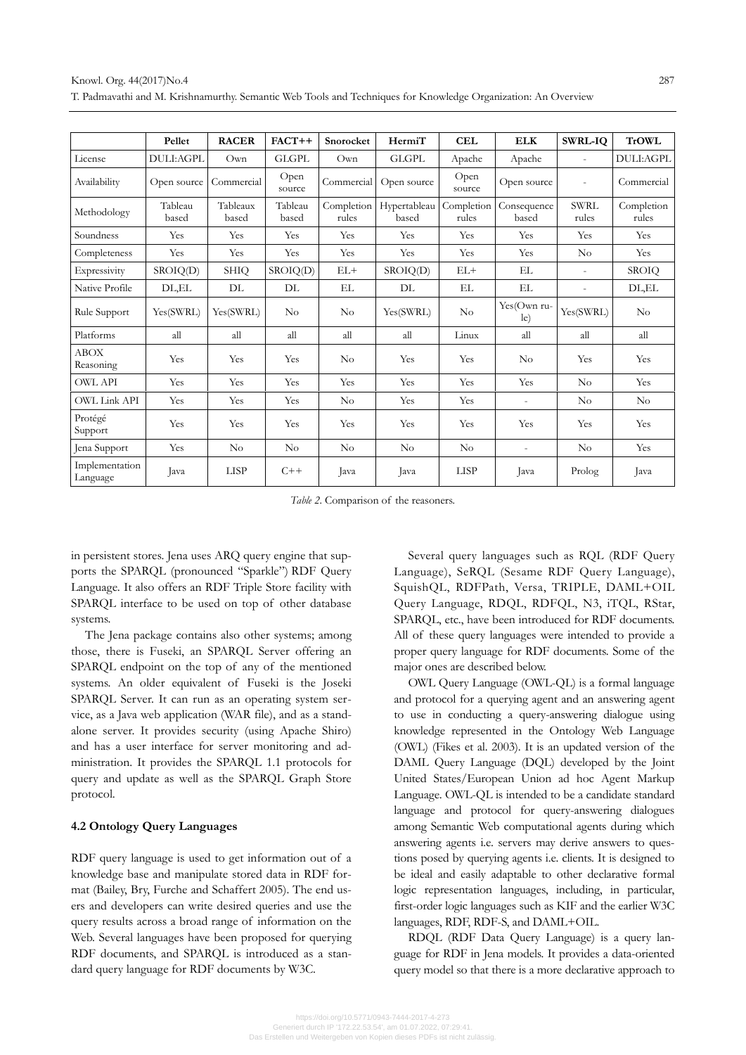|                            | Pellet           | <b>RACER</b>      | $FACT++$         | Snorocket           | HermiT                | <b>CEL</b>          | <b>ELK</b>               | <b>SWRL-IQ</b>           | <b>TrOWL</b>        |
|----------------------------|------------------|-------------------|------------------|---------------------|-----------------------|---------------------|--------------------------|--------------------------|---------------------|
| License                    | DULI:AGPL        | Own               | <b>GLGPL</b>     | Own                 | <b>GLGPL</b>          | Apache              | Apache                   | $\overline{a}$           | DULI:AGPL           |
| Availability               | Open source      | Commercial        | Open<br>source   | Commercial          | Open source           | Open<br>source      | Open source              | $\overline{\phantom{a}}$ | Commercial          |
| Methodology                | Tableau<br>based | Tableaux<br>based | Tableau<br>based | Completion<br>rules | Hypertableau<br>based | Completion<br>rules | Consequence<br>based     | <b>SWRL</b><br>rules     | Completion<br>rules |
| Soundness                  | Yes              | Yes               | Yes              | Yes                 | Yes                   | Yes                 | Yes                      | Yes                      | Yes                 |
| Completeness               | Yes              | Yes               | Yes              | Yes                 | Yes                   | Yes                 | Yes                      | $\rm No$                 | Yes                 |
| Expressivity               | SROIQ(D)         | <b>SHIQ</b>       | SROIQ(D)         | $EL+$               | SROIQ(D)              | $EL+$               | EL                       | $\overline{\phantom{a}}$ | <b>SROIQ</b>        |
| Native Profile             | DL,EL            | DL                | DL               | EL                  | $\rm DL$              | EL.                 | EL                       | ä,                       | DL,EL               |
| Rule Support               | Yes(SWRL)        | Yes(SWRL)         | No               | $\rm No$            | Yes(SWRL)             | No                  | Yes(Own ru-<br>le)       | Yes(SWRL)                | No                  |
| Platforms                  | all              | all               | all              | all                 | all                   | Linux               | all                      | all                      | all                 |
| <b>ABOX</b><br>Reasoning   | Yes              | Yes               | Yes              | No                  | Yes                   | Yes                 | No                       | Yes                      | Yes                 |
| <b>OWL API</b>             | Yes              | Yes               | Yes              | Yes                 | Yes                   | Yes                 | Yes                      | No                       | Yes                 |
| <b>OWL Link API</b>        | Yes              | Yes               | Yes              | $\rm No$            | Yes                   | Yes                 | $\overline{\phantom{a}}$ | No                       | $\rm No$            |
| Protégé<br>Support         | Yes              | Yes               | Yes              | Yes                 | Yes                   | Yes                 | Yes                      | Yes                      | Yes                 |
| Jena Support               | Yes              | No                | No               | No                  | No                    | No                  | $\overline{\phantom{a}}$ | No                       | Yes                 |
| Implementation<br>Language | Java             | <b>LISP</b>       | $C++$            | Java                | Java                  | <b>LISP</b>         | Java                     | Prolog                   | Java                |

*Table 2*. Comparison of the reasoners.

in persistent stores. Jena uses ARQ query engine that supports the SPARQL (pronounced "Sparkle") RDF Query Language. It also offers an RDF Triple Store facility with SPARQL interface to be used on top of other database systems.

The Jena package contains also other systems; among those, there is Fuseki, an SPARQL Server offering an SPARQL endpoint on the top of any of the mentioned systems. An older equivalent of Fuseki is the Joseki SPARQL Server. It can run as an operating system service, as a Java web application (WAR file), and as a standalone server. It provides security (using Apache Shiro) and has a user interface for server monitoring and administration. It provides the SPARQL 1.1 protocols for query and update as well as the SPARQL Graph Store protocol.

# **4.2 Ontology Query Languages**

RDF query language is used to get information out of a knowledge base and manipulate stored data in RDF format (Bailey, Bry, Furche and Schaffert 2005). The end users and developers can write desired queries and use the query results across a broad range of information on the Web. Several languages have been proposed for querying RDF documents, and SPARQL is introduced as a standard query language for RDF documents by W3C.

Several query languages such as RQL (RDF Query Language), SeRQL (Sesame RDF Query Language), SquishQL, RDFPath, Versa, TRIPLE, DAML+OIL Query Language, RDQL, RDFQL, N3, iTQL, RStar, SPARQL, etc., have been introduced for RDF documents. All of these query languages were intended to provide a proper query language for RDF documents. Some of the major ones are described below.

OWL Query Language (OWL-QL) is a formal language and protocol for a querying agent and an answering agent to use in conducting a query-answering dialogue using knowledge represented in the Ontology Web Language (OWL) (Fikes et al. 2003). It is an updated version of the DAML Query Language (DQL) developed by the Joint United States/European Union ad hoc Agent Markup Language. OWL-QL is intended to be a candidate standard language and protocol for query-answering dialogues among Semantic Web computational agents during which answering agents i.e. servers may derive answers to questions posed by querying agents i.e. clients. It is designed to be ideal and easily adaptable to other declarative formal logic representation languages, including, in particular, first-order logic languages such as KIF and the earlier W3C languages, RDF, RDF-S, and DAML+OIL.

RDQL (RDF Data Query Language) is a query language for RDF in Jena models. It provides a data-oriented query model so that there is a more declarative approach to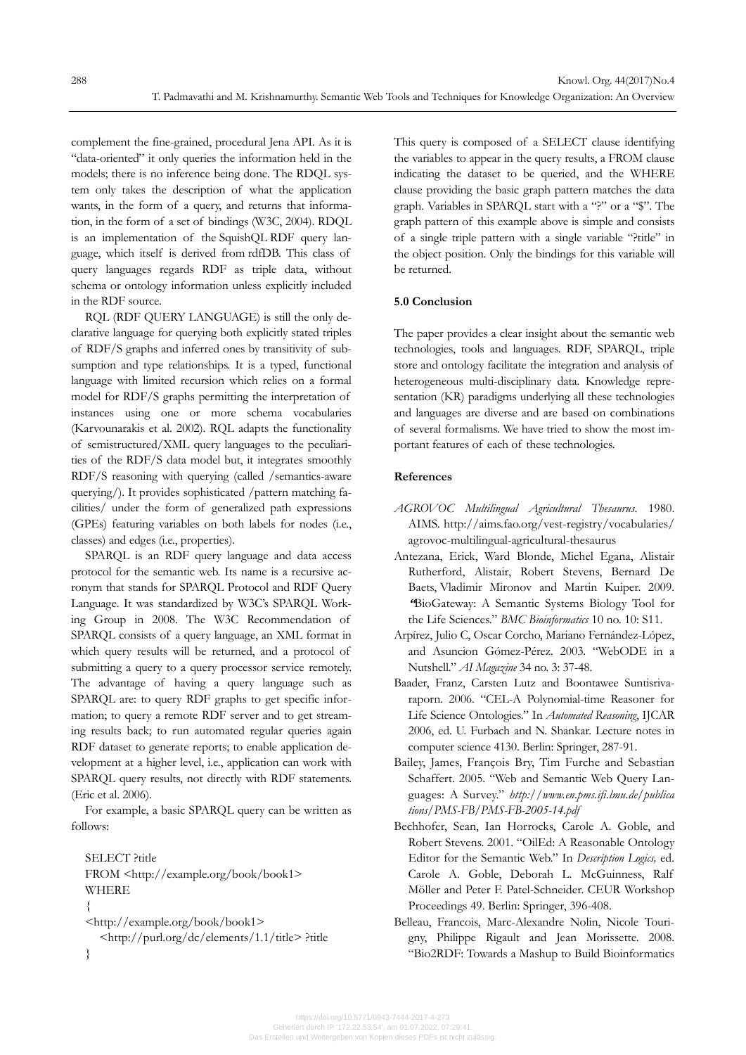complement the fine-grained, procedural Jena API. As it is "data-oriented" it only queries the information held in the models; there is no inference being done. The RDQL system only takes the description of what the application wants, in the form of a query, and returns that information, in the form of a set of bindings (W3C, 2004). RDQL is an implementation of the SquishQL RDF query language, which itself is derived from rdfDB. This class of query languages regards RDF as triple data, without schema or ontology information unless explicitly included in the RDF source.

RQL (RDF QUERY LANGUAGE) is still the only declarative language for querying both explicitly stated triples of RDF/S graphs and inferred ones by transitivity of subsumption and type relationships. It is a typed, functional language with limited recursion which relies on a formal model for RDF/S graphs permitting the interpretation of instances using one or more schema vocabularies (Karvounarakis et al. 2002). RQL adapts the functionality of semistructured/XML query languages to the peculiarities of the RDF/S data model but, it integrates smoothly RDF/S reasoning with querying (called /semantics-aware querying/). It provides sophisticated /pattern matching facilities/ under the form of generalized path expressions (GPEs) featuring variables on both labels for nodes (i.e., classes) and edges (i.e., properties).

SPARQL is an RDF query language and data access protocol for the semantic web. Its name is a recursive acronym that stands for SPARQL Protocol and RDF Query Language. It was standardized by W3C's SPARQL Working Group in 2008. The W3C Recommendation of SPARQL consists of a query language, an XML format in which query results will be returned, and a protocol of submitting a query to a query processor service remotely. The advantage of having a query language such as SPARQL are: to query RDF graphs to get specific information; to query a remote RDF server and to get streaming results back; to run automated regular queries again RDF dataset to generate reports; to enable application development at a higher level, i.e., application can work with SPARQL query results, not directly with RDF statements. (Eric et al. 2006).

For example, a basic SPARQL query can be written as follows:

SELECT ?title FROM <http://example.org/book/book1> WHERE { <http://example.org/book/book1> <http://purl.org/dc/elements/1.1/title> ?title

}

This query is composed of a SELECT clause identifying the variables to appear in the query results, a FROM clause indicating the dataset to be queried, and the WHERE clause providing the basic graph pattern matches the data graph. Variables in SPARQL start with a "?" or a "\$". The graph pattern of this example above is simple and consists of a single triple pattern with a single variable "?title" in the object position. Only the bindings for this variable will be returned.

# **5.0 Conclusion**

The paper provides a clear insight about the semantic web technologies, tools and languages. RDF, SPARQL, triple store and ontology facilitate the integration and analysis of heterogeneous multi-disciplinary data. Knowledge representation (KR) paradigms underlying all these technologies and languages are diverse and are based on combinations of several formalisms. We have tried to show the most important features of each of these technologies.

# **References**

- *AGROVOC Multilingual Agricultural Thesaurus*. 1980. AIMS. http://aims.fao.org/vest-registry/vocabularies/ agrovoc-multilingual-agricultural-thesaurus
- Antezana, Erick, Ward Blonde, Michel Egana, Alistair Rutherford, Alistair, Robert Stevens, Bernard De Baets, Vladimir Mironov and Martin Kuiper. 2009. **"**BioGateway: A Semantic Systems Biology Tool for the Life Sciences." *BMC Bioinformatics* 10 no. 10: S11.
- Arpírez, Julio C, Oscar Corcho, Mariano Fernández-López, and Asuncion Gómez-Pérez. 2003. "WebODE in a Nutshell." *AI Magazine* 34 no. 3: 37-48.
- Baader, Franz, Carsten Lutz and Boontawee Suntisrivaraporn. 2006. "CEL-A Polynomial-time Reasoner for Life Science Ontologies." In *Automated Reasoning*, IJCAR 2006, ed. U. Furbach and N. Shankar. Lecture notes in computer science 4130. Berlin: Springer, 287-91.
- Bailey, James, François Bry, Tim Furche and Sebastian Schaffert. 2005. "Web and Semantic Web Query Languages: A Survey." *http://www.en.pms.ifi.lmu.de/publica tions/PMS-FB/PMS-FB-2005-14.pdf*
- Bechhofer, Sean, Ian Horrocks, Carole A. Goble, and Robert Stevens. 2001. "OilEd: A Reasonable Ontology Editor for the Semantic Web." In *Description Logics,* ed. Carole A. Goble, Deborah L. McGuinness, Ralf Möller and Peter F. Patel-Schneider. CEUR Workshop Proceedings 49. Berlin: Springer, 396-408.
- Belleau, Francois, Marc-Alexandre Nolin, Nicole Tourigny, Philippe Rigault and Jean Morissette. 2008. "Bio2RDF: Towards a Mashup to Build Bioinformatics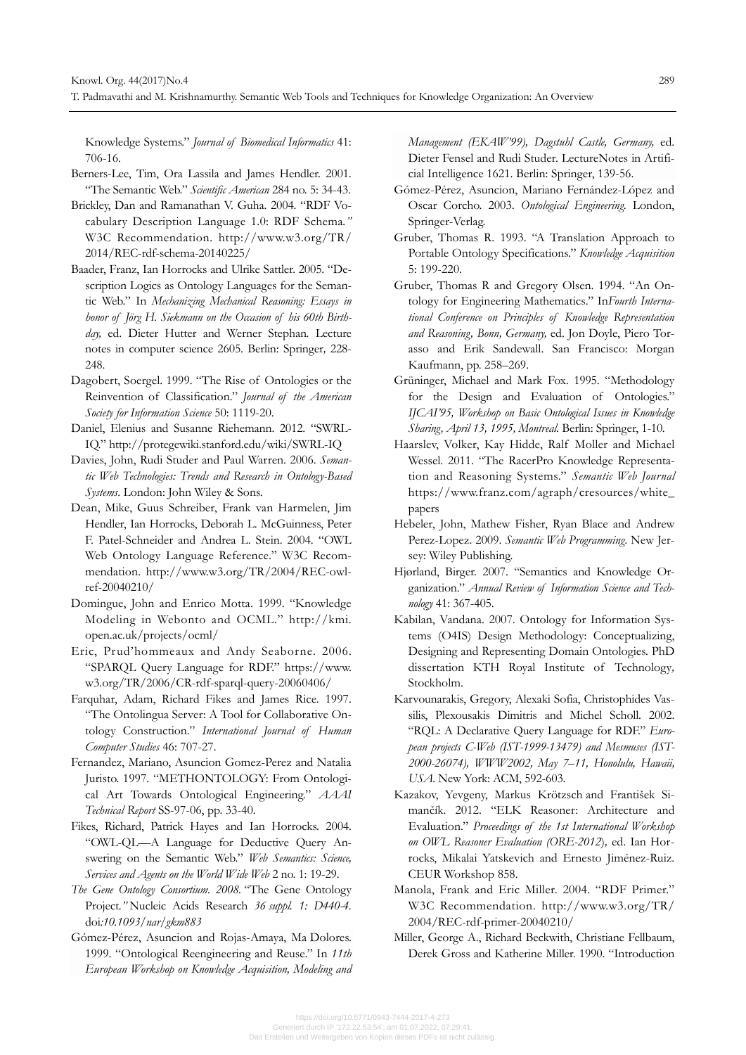Knowledge Systems." *Journal of Biomedical Informatics* 41: 706-16.

- Berners-Lee, Tim, Ora Lassila and James Hendler. 2001. "The Semantic Web." *Scientific American* 284 no. 5: 34-43.
- Brickley, Dan and Ramanathan V. Guha. 2004. "RDF Vocabulary Description Language 1.0: RDF Schema*."*  W3C Recommendation. http://www.w3.org/TR/ 2014/REC-rdf-schema-20140225/
- Baader, Franz, Ian Horrocks and Ulrike Sattler. 2005. "Description Logics as Ontology Languages for the Semantic Web." In *Mechanizing Mechanical Reasoning: Essays in honor of Jörg H. Siekmann on the Occasion of his 60th Birthday,* ed. Dieter Hutter and Werner Stephan*.* Lecture notes in computer science 2605. Berlin: Springer*,* 228- 248.
- Dagobert, Soergel. 1999. "The Rise of Ontologies or the Reinvention of Classification." *Journal of the American Society for Information Science* 50: 1119-20.
- Daniel, Elenius and Susanne Riehemann. 2012. "SWRL-IQ." http://protegewiki.stanford.edu/wiki/SWRL-IQ
- Davies, John, Rudi Studer and Paul Warren. 2006. *Semantic Web Technologies: Trends and Research in Ontology-Based Systems*. London: John Wiley & Sons.
- Dean, Mike, Guus Schreiber, Frank van Harmelen, Jim Hendler, Ian Horrocks, Deborah L. McGuinness, Peter F. Patel-Schneider and Andrea L. Stein. 2004. "OWL Web Ontology Language Reference." W3C Recommendation. http://www.w3.org/TR/2004/REC-owl ref-20040210/
- Domingue, John and Enrico Motta. 1999. "Knowledge Modeling in Webonto and OCML." http://kmi. open.ac.uk/projects/ocml/
- Eric, Prud'hommeaux and Andy Seaborne. 2006. "SPARQL Query Language for RDF." https://www. w3.org/TR/2006/CR-rdf-sparql-query-20060406/
- Farquhar, Adam, Richard Fikes and James Rice. 1997. "The Ontolingua Server: A Tool for Collaborative Ontology Construction." *International Journal of Human Computer Studies* 46: 707-27.
- Fernandez, Mariano, Asuncion Gomez-Perez and Natalia Juristo. 1997. "METHONTOLOGY: From Ontological Art Towards Ontological Engineering." *AAAI Technical Report* SS-97-06, pp. 33-40.
- Fikes, Richard, Patrick Hayes and Ian Horrocks. 2004. "OWL-QL—A Language for Deductive Query Answering on the Semantic Web." *Web Semantics: Science, Services and Agents on the World Wide Web* 2 no. 1: 19-29.
- *The Gene Ontology Consortium. 2008.* "The Gene Ontology Project*."* Nucleic Acids Research *36 suppl. 1: D440-4.* doi*:10.1093/nar/gkm883*
- Gómez-Pérez, Asuncion and Rojas-Amaya, Ma Dolores. 1999. "Ontological Reengineering and Reuse." In *11th European Workshop on Knowledge Acquisition, Modeling and*

*Management (EKAW'99), Dagstuhl Castle, Germany,* ed. Dieter Fensel and Rudi Studer. LectureNotes in Artificial Intelligence 1621. Berlin: Springer, 139-56.

- Gómez-Pérez, Asuncion, Mariano Fernández-López and Oscar Corcho. 2003. *Ontological Engineering*. London, Springer-Verlag.
- Gruber, Thomas R. 1993. "A Translation Approach to Portable Ontology Specifications." *Knowledge Acquisition* 5: 199-220.
- Gruber, Thomas R and Gregory Olsen. 1994. "An Ontology for Engineering Mathematics." In*Fourth International Conference on Principles of Knowledge Representation and Reasoning, Bonn, Germany,* ed. Jon Doyle, Piero Torasso and Erik Sandewall. San Francisco: Morgan Kaufmann, pp. 258–269.
- Grüninger, Michael and Mark Fox. 1995. "Methodology for the Design and Evaluation of Ontologies." *IJCAI'95, Workshop on Basic Ontological Issues in Knowledge Sharing, April 13, 1995, Montreal.* Berlin: Springer, 1-10*.*
- Haarslev, Volker, Kay Hidde, Ralf Moller and Michael Wessel. 2011. "The RacerPro Knowledge Representation and Reasoning Systems." *Semantic Web Journal* https://www.franz.com/agraph/cresources/white\_ papers
- Hebeler, John, Mathew Fisher, Ryan Blace and Andrew Perez-Lopez. 2009. *Semantic Web Programming*. New Jersey: Wiley Publishing.
- Hjørland, Birger. 2007. "Semantics and Knowledge Organization." *Annual Review of Information Science and Technology* 41: 367-405.
- Kabilan, Vandana. 2007. Ontology for Information Systems (O4IS) Design Methodology: Conceptualizing, Designing and Representing Domain Ontologies. PhD dissertation KTH Royal Institute of Technology*,* Stockholm.
- Karvounarakis, Gregory, Alexaki Sofia, Christophides Vassilis, Plexousakis Dimitris and Michel Scholl. 2002. "RQL: A Declarative Query Language for RDF." *European projects C-Web (IST-1999-13479) and Mesmuses (IST-2000-26074), WWW2002, May 7–11, Honolulu, Hawaii, USA*. New York: ACM, 592-603.
- Kazakov, Yevgeny, Markus Krötzsch and František Simančík. 2012. "ELK Reasoner: Architecture and Evaluation." *Proceedings of the 1st International Workshop on OWL Reasoner Evaluation (ORE-2012*)*,* ed. Ian Horrocks, Mikalai Yatskevich and Ernesto Jiménez-Ruiz. CEUR Workshop 858.
- Manola, Frank and Eric Miller. 2004. "RDF Primer." W3C Recommendation. http://www.w3.org/TR/ 2004/REC-rdf-primer-20040210/
- Miller, George A., Richard Beckwith, Christiane Fellbaum, Derek Gross and Katherine Miller. 1990. "Introduction